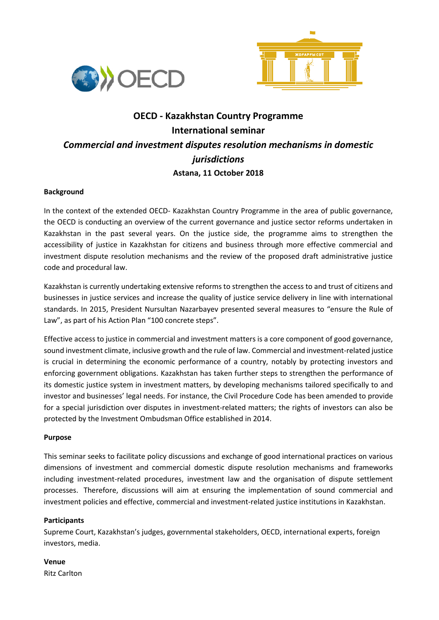



# **OECD - Kazakhstan Country Programme International seminar** *Commercial and investment disputes resolution mechanisms in domestic jurisdictions* **Astana, 11 October 2018**

# **Background**

In the context of the extended OECD- Kazakhstan Country Programme in the area of public governance, the OECD is conducting an overview of the current governance and justice sector reforms undertaken in Kazakhstan in the past several years. On the justice side, the programme aims to strengthen the accessibility of justice in Kazakhstan for citizens and business through more effective commercial and investment dispute resolution mechanisms and the review of the proposed draft administrative justice code and procedural law.

Kazakhstan is currently undertaking extensive reforms to strengthen the access to and trust of citizens and businesses in justice services and increase the quality of justice service delivery in line with international standards. In 2015, President Nursultan Nazarbayev presented several measures to "ensure the Rule of Law", as part of his Action Plan "100 concrete steps".

Effective access to justice in commercial and investment matters is a core component of good governance, sound investment climate, inclusive growth and the rule of law. Commercial and investment-related justice is crucial in determining the economic performance of a country, notably by protecting investors and enforcing government obligations. Kazakhstan has taken further steps to strengthen the performance of its domestic justice system in investment matters, by developing mechanisms tailored specifically to and investor and businesses' legal needs. For instance, the Civil Procedure Code has been amended to provide for a special jurisdiction over disputes in investment-related matters; the rights of investors can also be protected by the Investment Ombudsman Office established in 2014.

# **Purpose**

This seminar seeks to facilitate policy discussions and exchange of good international practices on various dimensions of investment and commercial domestic dispute resolution mechanisms and frameworks including investment-related procedures, investment law and the organisation of dispute settlement processes. Therefore, discussions will aim at ensuring the implementation of sound commercial and investment policies and effective, commercial and investment-related justice institutions in Kazakhstan.

# **Participants**

Supreme Court, Kazakhstan's judges, governmental stakeholders, OECD, international experts, foreign investors, media.

**Venue** Ritz Carlton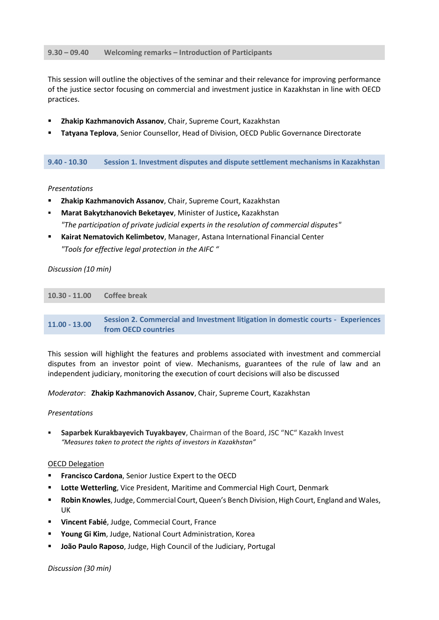## **9.30 – 09.40 Welcoming remarks – Introduction of Participants**

This session will outline the objectives of the seminar and their relevance for improving performance of the justice sector focusing on commercial and investment justice in Kazakhstan in line with OECD practices.

- **Zhakip Kazhmanovich Assanov**, Chair, Supreme Court, Kazakhstan
- **Tatyana Teplova**, Senior Counsellor, Head of Division, OECD Public Governance Directorate

**9.40 - 10.30 Session 1. Investment disputes and dispute settlement mechanisms in Kazakhstan**

## *Presentations*

- **Zhakip Kazhmanovich Assanov**, Chair, Supreme Court, Kazakhstan
- **Мarat Bakytzhanovich Beketayev**, Minister of Justice**,** Kazakhstan *"The participation of private judicial experts in the resolution of commercial disputes"*
- **Kairat Nematovich Kelimbetov**, Manager, Astana International Financial Center *"Tools for effective legal protection in the AIFC "*

## *Discussion (10 min)*

| 10.30 - 11.00 Coffee break |  |
|----------------------------|--|
|                            |  |

**11.00 - 13.00 Session 2. Commercial and Investment litigation in domestic courts - Experiences from OECD countries** 

This session will highlight the features and problems associated with investment and commercial disputes from an investor point of view. Mechanisms, guarantees of the rule of law and an independent judiciary, monitoring the execution of court decisions will also be discussed

*Moderator*: **Zhakip Kazhmanovich Assanov**, Chair, Supreme Court, Kazakhstan

#### *Presentations*

 **Saparbek Kurakbayevich Tuyakbayev**, Chairman of the Board, JSC "NC" Kazakh Invest *"Measures taken to protect the rights of investors in Kazakhstan"*

# OECD Delegation

- **Francisco Cardona**, Senior Justice Expert to the OECD
- **Lotte Wetterling**, Vice President, Maritime and Commercial High Court, Denmark
- **Robin Knowles**, Judge, Commercial Court, Queen's Bench Division, High Court, England and Wales, UK
- **Vincent Fabié**, Judge, Commecial Court, France
- **Young Gi Kim**, Judge, National Court Administration, Korea
- **João Paulo Raposo**, Judge, High Council of the Judiciary, Portugal

#### *Discussion (30 min)*